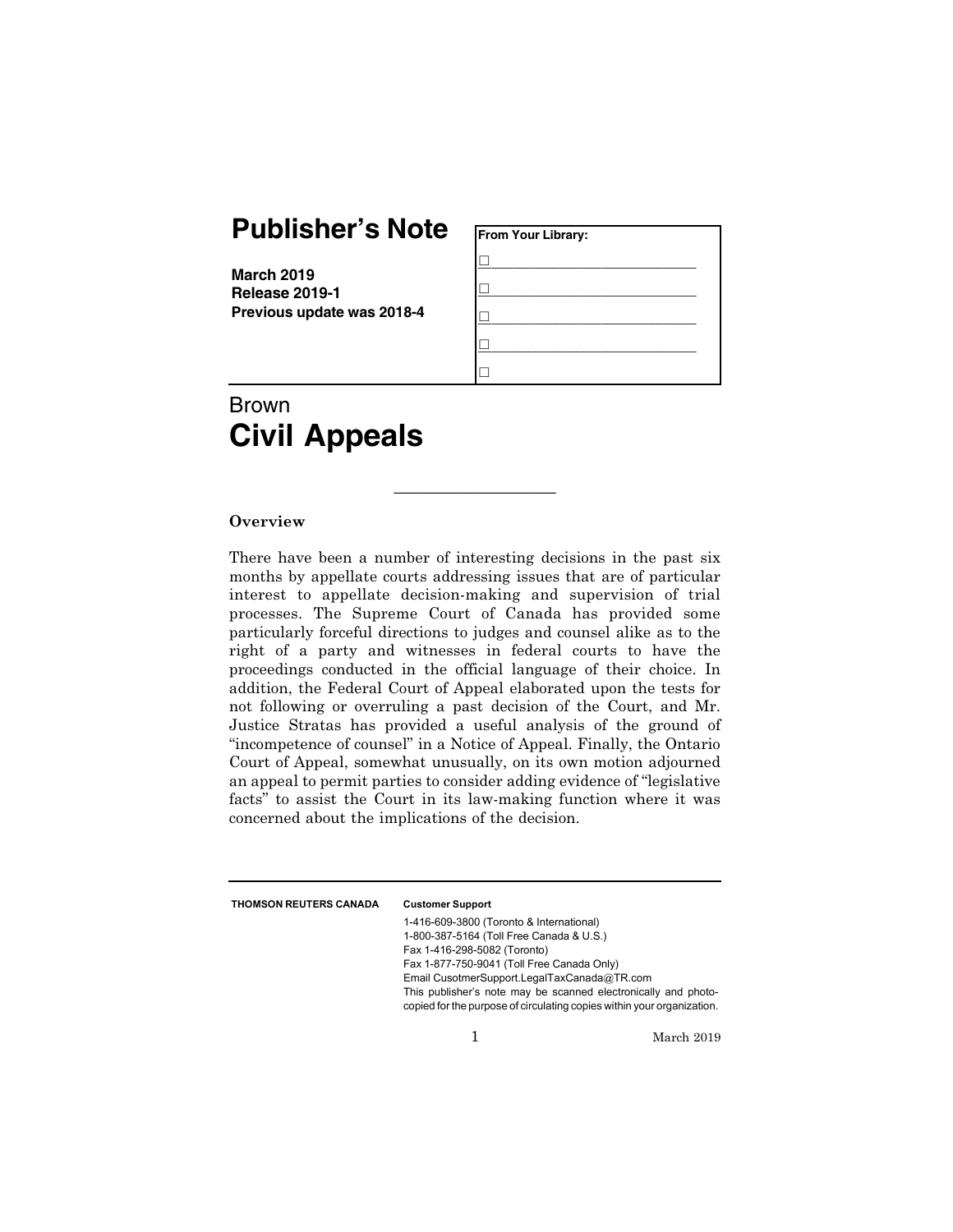## **Publisher's Note**

**March 2019 Release 2019-1 Previous update was 2018-4**

| From Your Library: |  |
|--------------------|--|
|                    |  |
|                    |  |
|                    |  |
|                    |  |
|                    |  |

# Brown **Civil Appeals**

#### **Overview**

There have been a number of interesting decisions in the past six months by appellate courts addressing issues that are of particular interest to appellate decision-making and supervision of trial processes. The Supreme Court of Canada has provided some particularly forceful directions to judges and counsel alike as to the right of a party and witnesses in federal courts to have the proceedings conducted in the official language of their choice. In addition, the Federal Court of Appeal elaborated upon the tests for not following or overruling a past decision of the Court, and Mr. Justice Stratas has provided a useful analysis of the ground of "incompetence of counsel" in a Notice of Appeal. Finally, the Ontario Court of Appeal, somewhat unusually, on its own motion adjourned an appeal to permit parties to consider adding evidence of "legislative facts" to assist the Court in its law-making function where it was concerned about the implications of the decision.

\_\_\_\_\_\_\_\_\_\_\_\_\_\_\_\_\_\_\_

THOMSON REUTERS CANADA Customer Support

1-416-609-3800 (Toronto & International) 1-800-387-5164 (Toll Free Canada & U.S.) Fax 1-416-298-5082 (Toronto) Fax 1-877-750-9041 (Toll Free Canada Only) Email CusotmerSupport.LegalTaxCanada@TR.com This publisher's note may be scanned electronically and photocopied for the purpose of circulating copies within your organization.

1 March 2019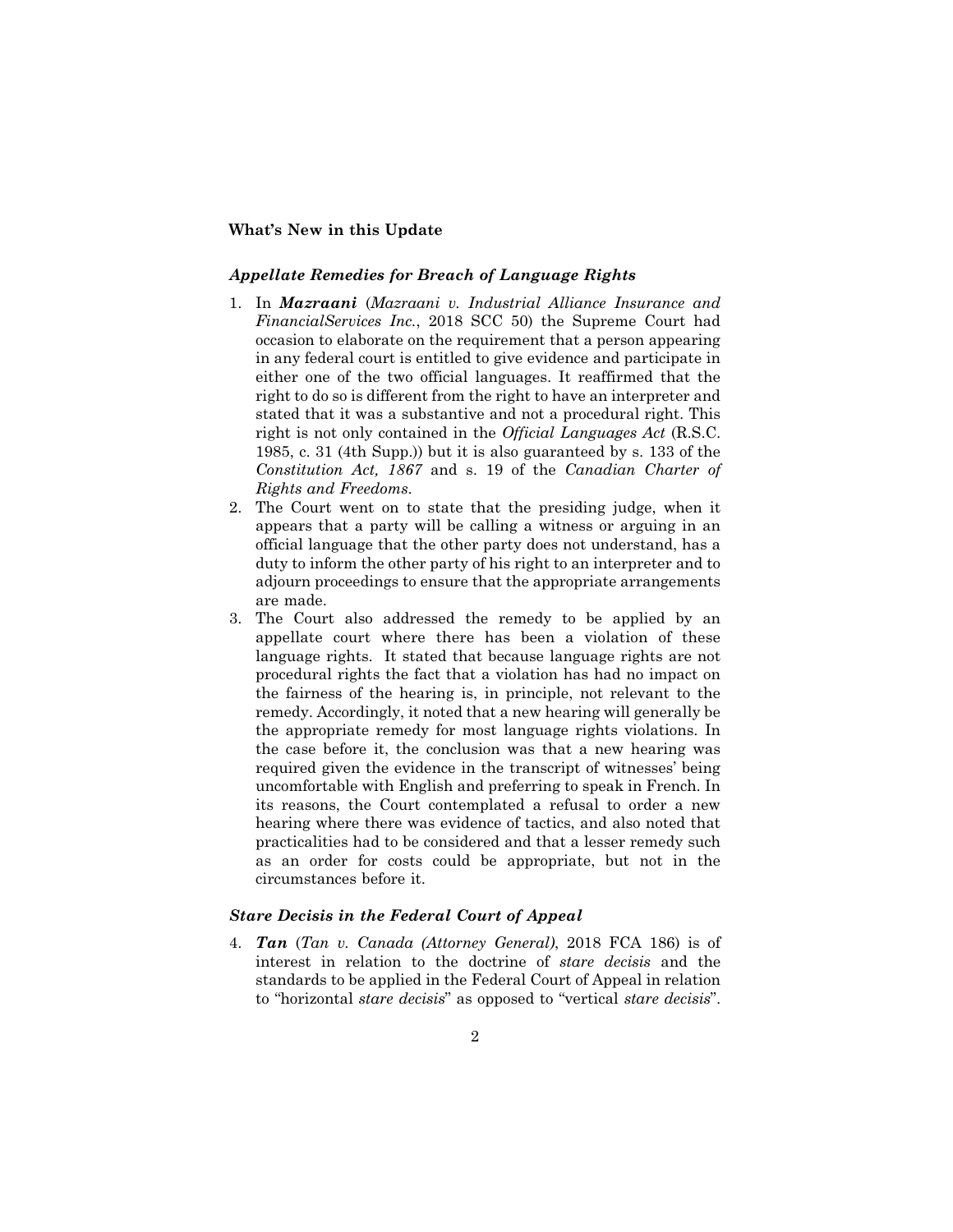### **What's New in this Update**

#### *Appellate Remedies for Breach of Language Rights*

- 1. In *Mazraani* (*Mazraani v. Industrial Alliance Insurance and FinancialServices Inc.*, 2018 SCC 50) the Supreme Court had occasion to elaborate on the requirement that a person appearing in any federal court is entitled to give evidence and participate in either one of the two official languages. It reaffirmed that the right to do so is different from the right to have an interpreter and stated that it was a substantive and not a procedural right. This right is not only contained in the *Official Languages Act* (R.S.C. 1985, c. 31 (4th Supp.)) but it is also guaranteed by s. 133 of the *Constitution Act, 1867* and s. 19 of the *Canadian Charter of Rights and Freedoms*.
- 2. The Court went on to state that the presiding judge, when it appears that a party will be calling a witness or arguing in an official language that the other party does not understand, has a duty to inform the other party of his right to an interpreter and to adjourn proceedings to ensure that the appropriate arrangements are made.
- 3. The Court also addressed the remedy to be applied by an appellate court where there has been a violation of these language rights. It stated that because language rights are not procedural rights the fact that a violation has had no impact on the fairness of the hearing is, in principle, not relevant to the remedy. Accordingly, it noted that a new hearing will generally be the appropriate remedy for most language rights violations. In the case before it, the conclusion was that a new hearing was required given the evidence in the transcript of witnesses' being uncomfortable with English and preferring to speak in French. In its reasons, the Court contemplated a refusal to order a new hearing where there was evidence of tactics, and also noted that practicalities had to be considered and that a lesser remedy such as an order for costs could be appropriate, but not in the circumstances before it.

#### *Stare Decisis in the Federal Court of Appeal*

4. *Tan* (*Tan v. Canada (Attorney General)*, 2018 FCA 186) is of interest in relation to the doctrine of *stare decisis* and the standards to be applied in the Federal Court of Appeal in relation to "horizontal *stare decisis*" as opposed to "vertical *stare decisis*".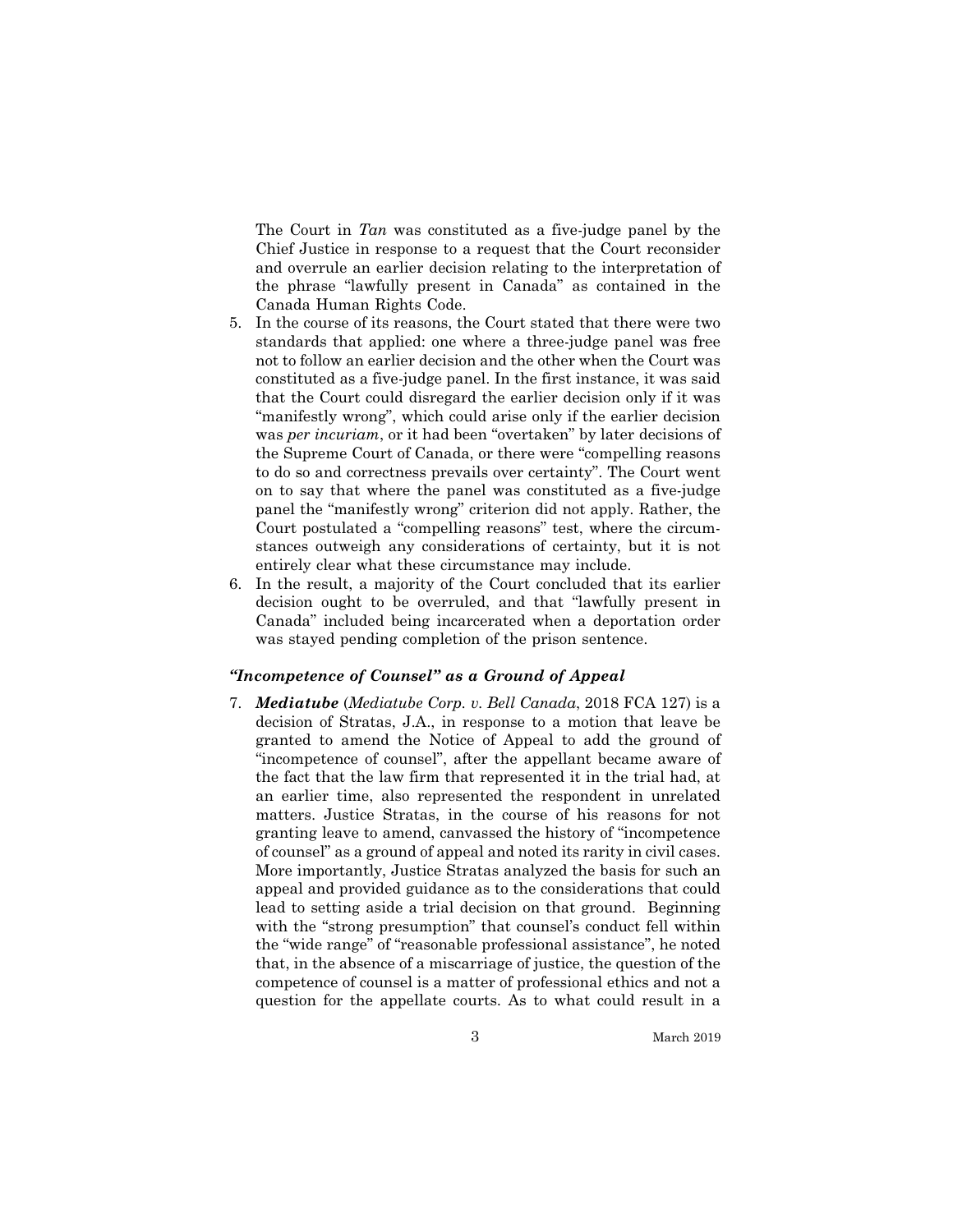The Court in *Tan* was constituted as a five-judge panel by the Chief Justice in response to a request that the Court reconsider and overrule an earlier decision relating to the interpretation of the phrase "lawfully present in Canada" as contained in the Canada Human Rights Code.

- 5. In the course of its reasons, the Court stated that there were two standards that applied: one where a three-judge panel was free not to follow an earlier decision and the other when the Court was constituted as a five-judge panel. In the first instance, it was said that the Court could disregard the earlier decision only if it was "manifestly wrong", which could arise only if the earlier decision was *per incuriam*, or it had been "overtaken" by later decisions of the Supreme Court of Canada, or there were "compelling reasons to do so and correctness prevails over certainty". The Court went on to say that where the panel was constituted as a five-judge panel the "manifestly wrong" criterion did not apply. Rather, the Court postulated a "compelling reasons" test, where the circumstances outweigh any considerations of certainty, but it is not entirely clear what these circumstance may include.
- 6. In the result, a majority of the Court concluded that its earlier decision ought to be overruled, and that "lawfully present in Canada" included being incarcerated when a deportation order was stayed pending completion of the prison sentence.

#### *"Incompetence of Counsel" as a Ground of Appeal*

7. *Mediatube* (*Mediatube Corp. v. Bell Canada*, 2018 FCA 127) is a decision of Stratas, J.A., in response to a motion that leave be granted to amend the Notice of Appeal to add the ground of "incompetence of counsel", after the appellant became aware of the fact that the law firm that represented it in the trial had, at an earlier time, also represented the respondent in unrelated matters. Justice Stratas, in the course of his reasons for not granting leave to amend, canvassed the history of "incompetence of counsel" as a ground of appeal and noted its rarity in civil cases. More importantly, Justice Stratas analyzed the basis for such an appeal and provided guidance as to the considerations that could lead to setting aside a trial decision on that ground. Beginning with the "strong presumption" that counsel's conduct fell within the "wide range" of "reasonable professional assistance", he noted that, in the absence of a miscarriage of justice, the question of the competence of counsel is a matter of professional ethics and not a question for the appellate courts. As to what could result in a

3 March 2019